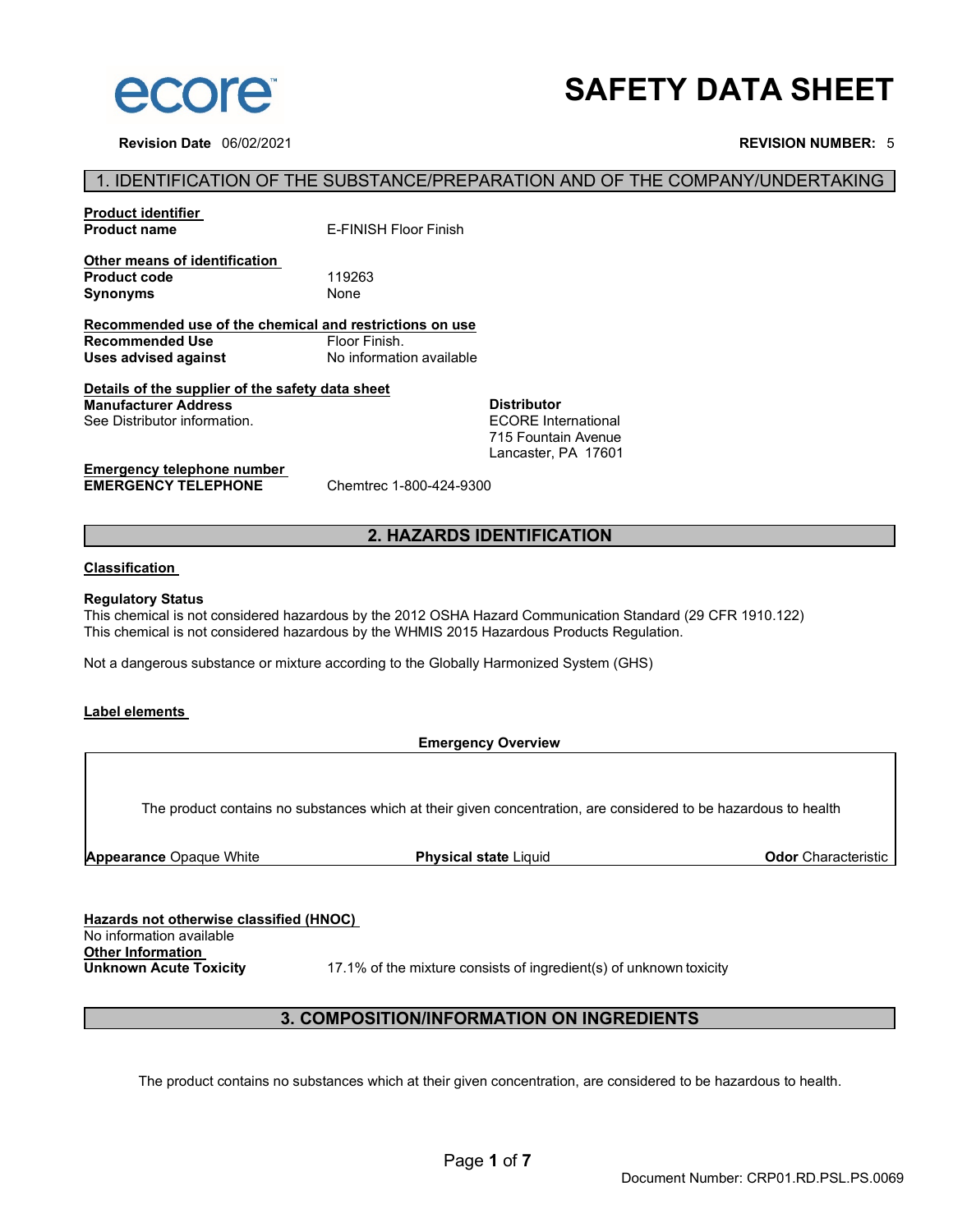

**Revision Date** 06/02/2021 **REVISION NUMBER:** 5

# **SAFETY DATA SHEET**

# 1. IDENTIFICATION OF THE SUBSTANCE/PREPARATION AND OF THE COMPANY/UNDERTAKING

| <b>Product identifier</b><br><b>Product name</b>                        | F-FINISH Floor Finish    |                            |  |
|-------------------------------------------------------------------------|--------------------------|----------------------------|--|
| Other means of identification<br><b>Product code</b><br><b>Synonyms</b> | 119263<br>None           |                            |  |
| Recommended use of the chemical and restrictions on use                 |                          |                            |  |
| Recommended Use                                                         | Floor Finish.            |                            |  |
| Uses advised against                                                    | No information available |                            |  |
| Details of the supplier of the safety data sheet                        |                          |                            |  |
| <b>Manufacturer Address</b>                                             |                          | <b>Distributor</b>         |  |
| See Distributor information.                                            |                          | <b>FCORF</b> International |  |
|                                                                         |                          | 715 Fountain Avenue        |  |
|                                                                         |                          |                            |  |
|                                                                         |                          | Lancaster. PA 17601        |  |
| Emergency telephone number                                              |                          |                            |  |

**EMERGENCY TELEPHONE** Chemtrec 1-800-424-9300

# **2. HAZARDS IDENTIFICATION**

### **Classification**

#### **Regulatory Status**

This chemical is not considered hazardous by the 2012 OSHA Hazard Communication Standard (29 CFR 1910.122) This chemical is not considered hazardous by the WHMIS 2015 Hazardous Products Regulation.

Not a dangerous substance or mixture according to the Globally Harmonized System (GHS)

#### **Label elements**

#### **Emergency Overview**

The product contains no substances which at their given concentration, are considered to be hazardous to health

**Appearance** Opaque White **Physical state** Liquid **Odor** Characteristic

**Hazards not otherwise classified (HNOC)**  No information available **Other Information**<br> **Unknown Acute Toxicity** 

17.1% of the mixture consists of ingredient(s) of unknown toxicity

# **3. COMPOSITION/INFORMATION ON INGREDIENTS**

The product contains no substances which at their given concentration, are considered to be hazardous to health.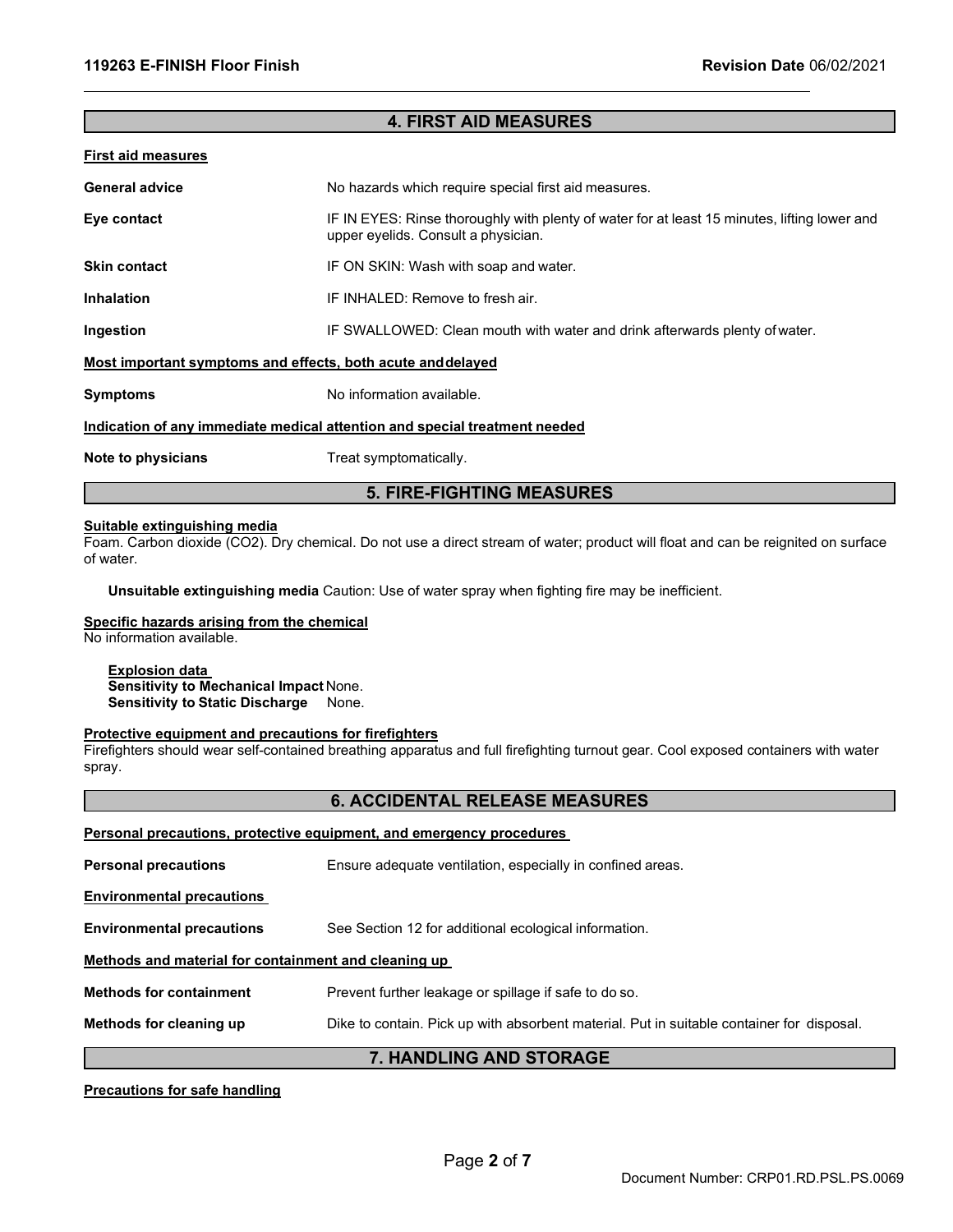#### **4. FIRST AID MEASURES**

#### **First aid measures**

| <b>General advice</b>                                                      | No hazards which require special first aid measures.                                                                                |  |
|----------------------------------------------------------------------------|-------------------------------------------------------------------------------------------------------------------------------------|--|
| Eye contact                                                                | IF IN EYES: Rinse thoroughly with plenty of water for at least 15 minutes, lifting lower and<br>upper eyelids. Consult a physician. |  |
| <b>Skin contact</b>                                                        | IF ON SKIN: Wash with soap and water.                                                                                               |  |
| <b>Inhalation</b>                                                          | IF INHALED: Remove to fresh air.                                                                                                    |  |
| Ingestion                                                                  | IF SWALLOWED: Clean mouth with water and drink afterwards plenty of water.                                                          |  |
| Most important symptoms and effects, both acute and delayed                |                                                                                                                                     |  |
| <b>Symptoms</b>                                                            | No information available.                                                                                                           |  |
| Indication of any immediate medical attention and special treatment needed |                                                                                                                                     |  |
| Note to physicians                                                         | Treat symptomatically.                                                                                                              |  |

# **5. FIRE-FIGHTING MEASURES**

# **Suitable extinguishing media**

Foam. Carbon dioxide (CO2). Dry chemical. Do not use a direct stream of water; product will float and can be reignited on surface of water.

**Unsuitable extinguishing media** Caution: Use of water spray when fighting fire may be inefficient.

#### **Specific hazards arising from the chemical**

No information available.

# **Explosion data**

**Sensitivity to Mechanical Impact** None. **Sensitivity to Static Discharge** None.

#### **Protective equipment and precautions for firefighters**

Firefighters should wear self-contained breathing apparatus and full firefighting turnout gear. Cool exposed containers with water spray.

# **6. ACCIDENTAL RELEASE MEASURES**

**Personal precautions, protective equipment, and emergency procedures** 

**Personal precautions** Ensure adequate ventilation, especially in confined areas.

**Environmental precautions** 

**Environmental precautions** See Section 12 for additional ecological information.

#### **Methods and material for containment and cleaning up**

**Methods for containment** Prevent further leakage or spillage if safe to do so.

**Methods for cleaning up** Dike to contain. Pick up with absorbent material. Put in suitable container for disposal.

# **7. HANDLING AND STORAGE**

#### **Precautions for safe handling**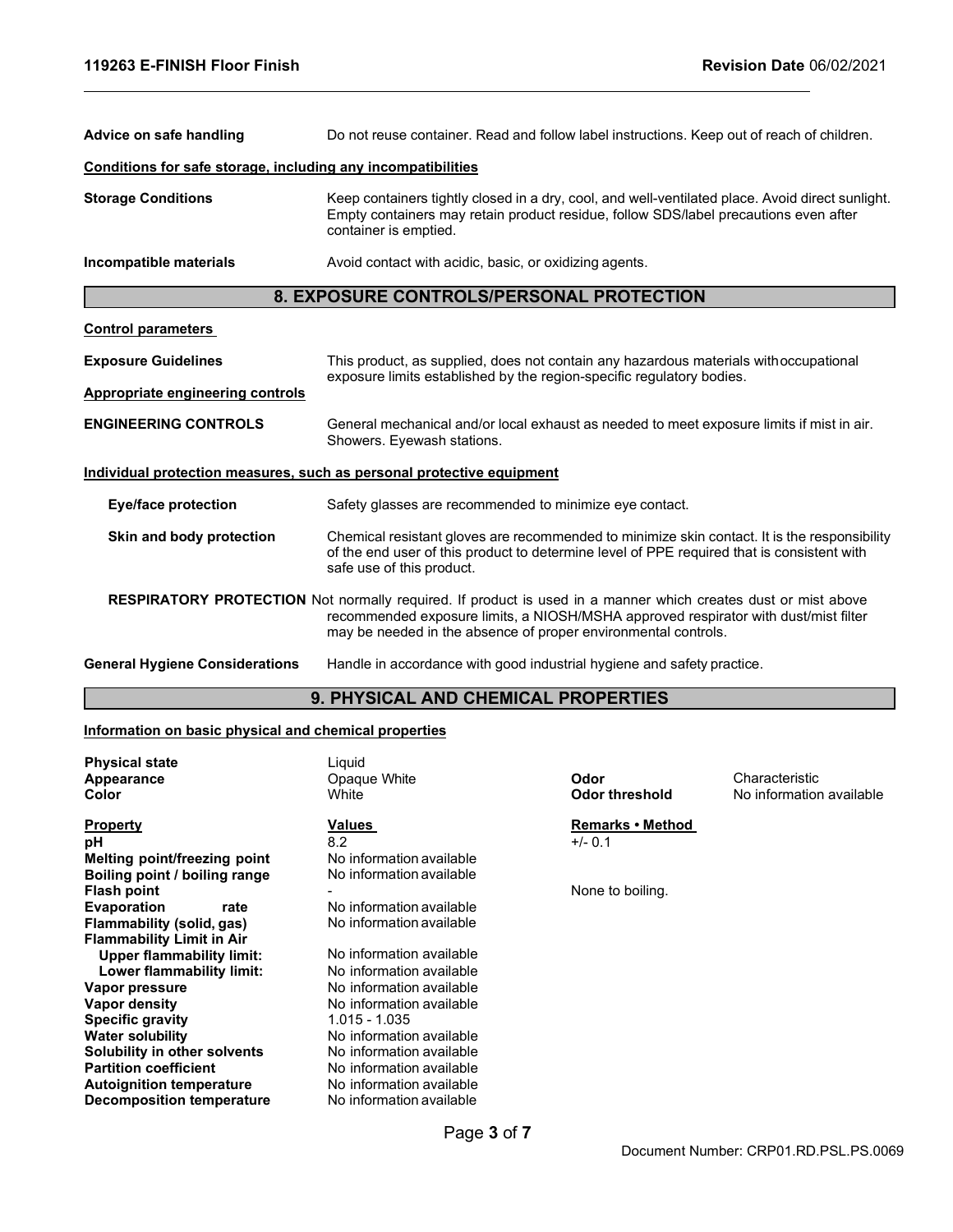| Advice on safe handling                                               | Do not reuse container. Read and follow label instructions. Keep out of reach of children.                                                                                                                                                                                    |  |
|-----------------------------------------------------------------------|-------------------------------------------------------------------------------------------------------------------------------------------------------------------------------------------------------------------------------------------------------------------------------|--|
| Conditions for safe storage, including any incompatibilities          |                                                                                                                                                                                                                                                                               |  |
| <b>Storage Conditions</b>                                             | Keep containers tightly closed in a dry, cool, and well-ventilated place. Avoid direct sunlight.<br>Empty containers may retain product residue, follow SDS/label precautions even after<br>container is emptied.                                                             |  |
| Incompatible materials                                                | Avoid contact with acidic, basic, or oxidizing agents.                                                                                                                                                                                                                        |  |
|                                                                       | 8. EXPOSURE CONTROLS/PERSONAL PROTECTION                                                                                                                                                                                                                                      |  |
| <b>Control parameters</b>                                             |                                                                                                                                                                                                                                                                               |  |
| <b>Exposure Guidelines</b>                                            | This product, as supplied, does not contain any hazardous materials with occupational<br>exposure limits established by the region-specific regulatory bodies.                                                                                                                |  |
| Appropriate engineering controls                                      |                                                                                                                                                                                                                                                                               |  |
| <b>ENGINEERING CONTROLS</b>                                           | General mechanical and/or local exhaust as needed to meet exposure limits if mist in air.<br>Showers. Eyewash stations.                                                                                                                                                       |  |
| Individual protection measures, such as personal protective equipment |                                                                                                                                                                                                                                                                               |  |
| Eye/face protection                                                   | Safety glasses are recommended to minimize eye contact.                                                                                                                                                                                                                       |  |
| Skin and body protection                                              | Chemical resistant gloves are recommended to minimize skin contact. It is the responsibility<br>of the end user of this product to determine level of PPE required that is consistent with<br>safe use of this product.                                                       |  |
|                                                                       | <b>RESPIRATORY PROTECTION</b> Not normally required. If product is used in a manner which creates dust or mist above<br>recommended exposure limits, a NIOSH/MSHA approved respirator with dust/mist filter<br>may be needed in the absence of proper environmental controls. |  |
| <b>General Hygiene Considerations</b>                                 | Handle in accordance with good industrial hygiene and safety practice.                                                                                                                                                                                                        |  |
| <b>9. PHYSICAL AND CHEMICAL PROPERTIES</b>                            |                                                                                                                                                                                                                                                                               |  |

# **Information on basic physical and chemical properties**

| <b>Physical state</b>            | Liquid                   |                  |                          |
|----------------------------------|--------------------------|------------------|--------------------------|
| Appearance                       | Opaque White             | Odor             | Characteristic           |
| Color                            | White                    | Odor threshold   | No information available |
| <b>Property</b>                  | Values                   | Remarks • Method |                          |
| рH                               | 8.2                      | $+/- 0.1$        |                          |
| Melting point/freezing point     | No information available |                  |                          |
| Boiling point / boiling range    | No information available |                  |                          |
| <b>Flash point</b>               |                          | None to boiling. |                          |
| <b>Evaporation</b><br>rate       | No information available |                  |                          |
| Flammability (solid, gas)        | No information available |                  |                          |
| <b>Flammability Limit in Air</b> |                          |                  |                          |
| <b>Upper flammability limit:</b> | No information available |                  |                          |
| Lower flammability limit:        | No information available |                  |                          |
| Vapor pressure                   | No information available |                  |                          |
| Vapor density                    | No information available |                  |                          |
| <b>Specific gravity</b>          | 1.015 - 1.035            |                  |                          |
| <b>Water solubility</b>          | No information available |                  |                          |
| Solubility in other solvents     | No information available |                  |                          |
| <b>Partition coefficient</b>     | No information available |                  |                          |
| <b>Autoignition temperature</b>  | No information available |                  |                          |
| Decomposition temperature        | No information available |                  |                          |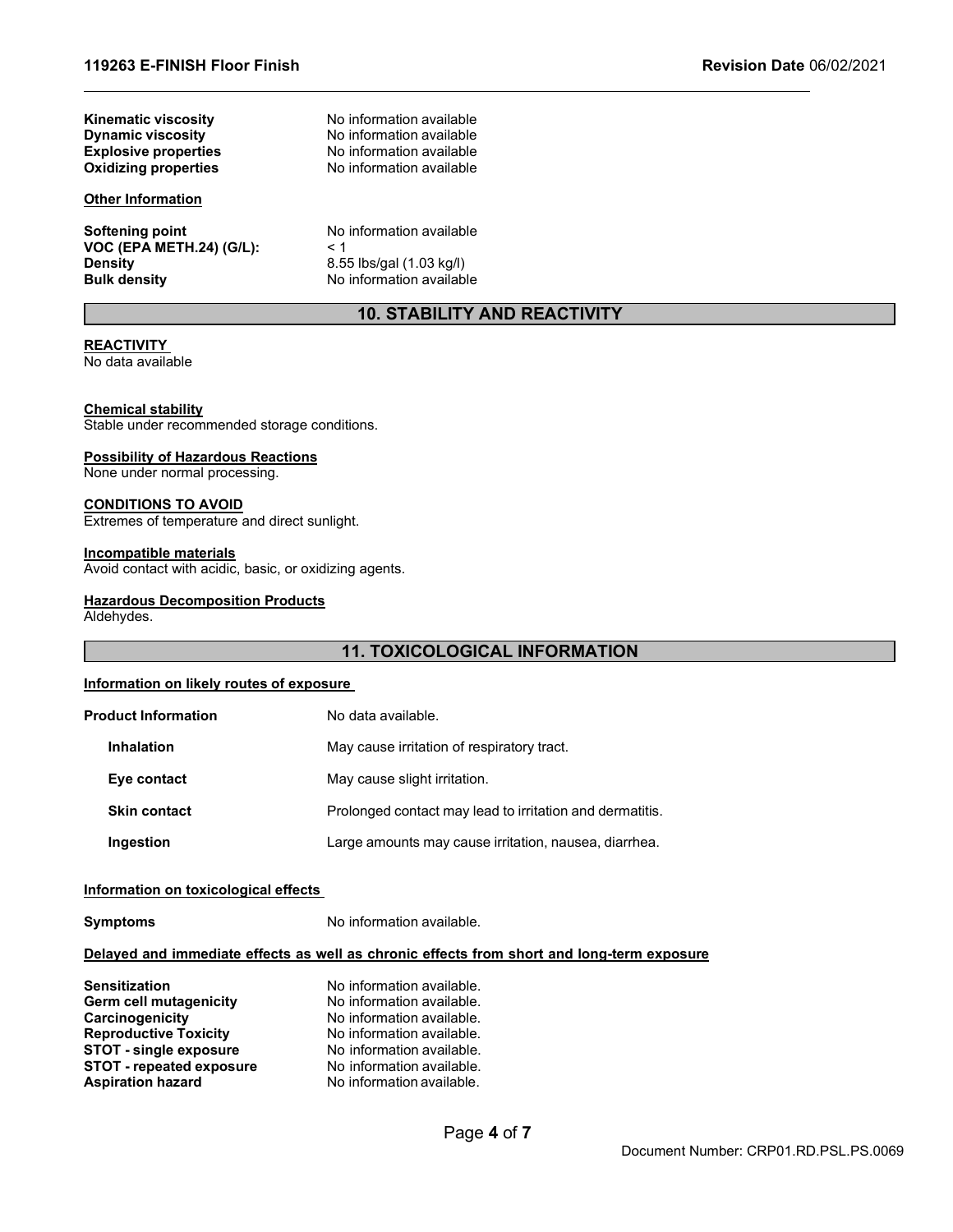**Kinematic viscosity**<br> **Communical Dynamic viscosity**<br>
No information available **Dynamic viscosity**<br> **Explosive properties**<br>
No information available **Oxidizing properties** 

# **Other Information**

**Softening point** No information available<br>**VOC (EPA METH.24) (G/L):** < 1 **VOC (EPA METH.24) (G/L):**<br>Density **Density** 8.55 lbs/gal (1.03 kg/l)<br> **Bulk density Bulk density** No information available

**No information available** 

No information available<br>No information available

# **10. STABILITY AND REACTIVITY**

#### **REACTIVITY**

No data available

#### **Chemical stability**

Stable under recommended storage conditions.

#### **Possibility of Hazardous Reactions**

None under normal processing.

#### **CONDITIONS TO AVOID**

Extremes of temperature and direct sunlight.

#### **Incompatible materials**

Avoid contact with acidic, basic, or oxidizing agents.

#### **Hazardous Decomposition Products**

Aldehydes.

# **11. TOXICOLOGICAL INFORMATION**

#### **Information on likely routes of exposure**

| <b>Product Information</b> | No data available.                                       |
|----------------------------|----------------------------------------------------------|
| <b>Inhalation</b>          | May cause irritation of respiratory tract.               |
| Eye contact                | May cause slight irritation.                             |
| <b>Skin contact</b>        | Prolonged contact may lead to irritation and dermatitis. |
| Ingestion                  | Large amounts may cause irritation, nausea, diarrhea.    |

#### **Information on toxicological effects**

**Symptoms** No information available.

# **Delayed and immediate effects as well as chronic effects from short and long-term exposure**

| <b>Sensitization</b>            | No information available. |
|---------------------------------|---------------------------|
| Germ cell mutagenicity          | No information available. |
| Carcinogenicity                 | No information available. |
| <b>Reproductive Toxicity</b>    | No information available. |
| <b>STOT - single exposure</b>   | No information available. |
| <b>STOT - repeated exposure</b> | No information available. |
| <b>Aspiration hazard</b>        | No information available. |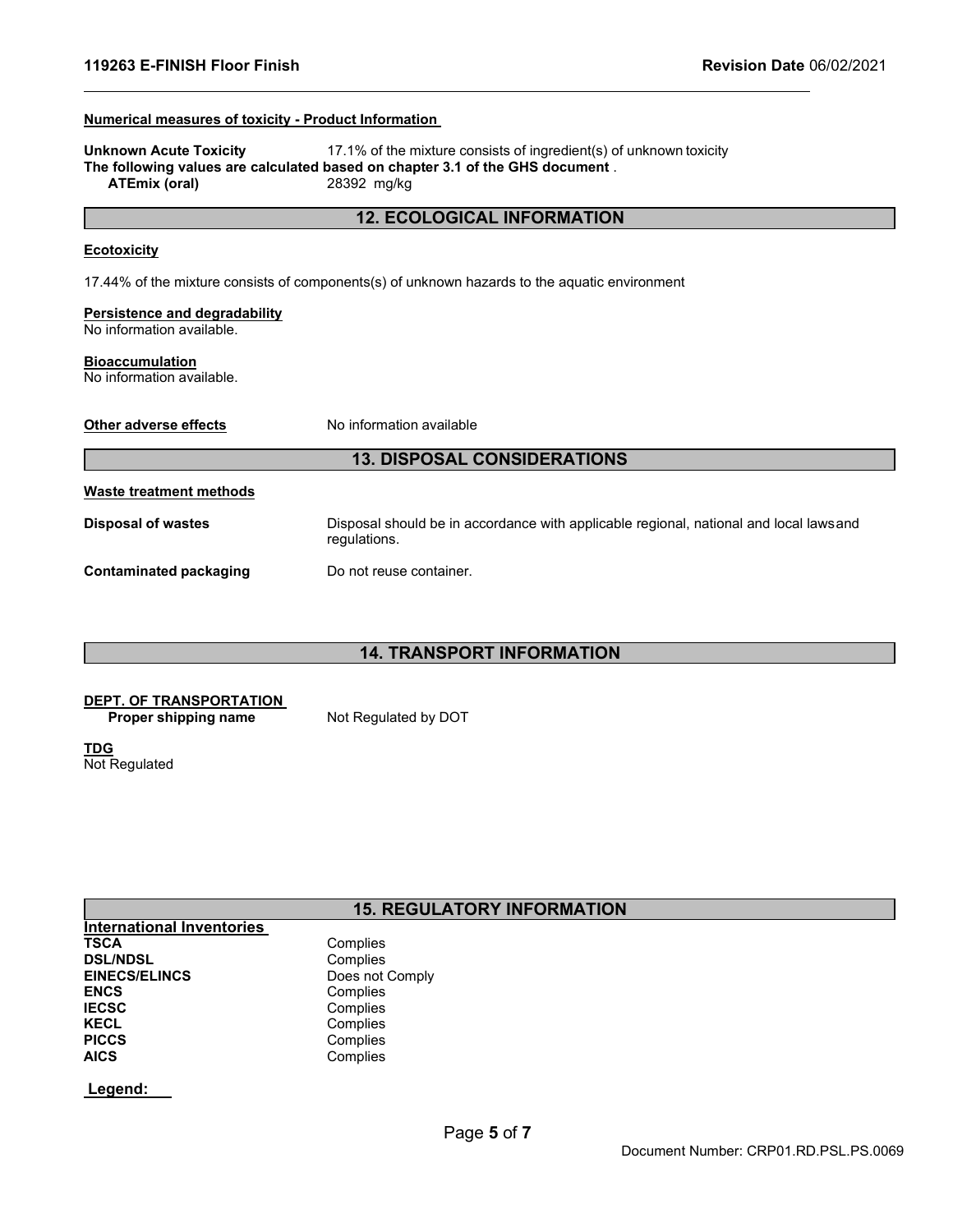### **Numerical measures of toxicity - Product Information**

**Unknown Acute Toxicity** 17.1% of the mixture consists of ingredient(s) of unknown toxicity **The following values are calculated based on chapter 3.1 of the GHS document** . **ATEmix (oral)** 28392 mg/kg

### **12. ECOLOGICAL INFORMATION**

#### **Ecotoxicity**

17.44% of the mixture consists of components(s) of unknown hazards to the aquatic environment

#### **Persistence and degradability**

No information available.

#### **Bioaccumulation**

No information available.

| <b>Other adverse effects</b>       | No information available                                                                              |  |
|------------------------------------|-------------------------------------------------------------------------------------------------------|--|
| <b>13. DISPOSAL CONSIDERATIONS</b> |                                                                                                       |  |
| <b>Waste treatment methods</b>     |                                                                                                       |  |
| <b>Disposal of wastes</b>          | Disposal should be in accordance with applicable regional, national and local lawsand<br>regulations. |  |
| <b>Contaminated packaging</b>      | Do not reuse container.                                                                               |  |

# **14. TRANSPORT INFORMATION**

#### **DEPT. OF TRANSPORTATION**

**Proper shipping name** Not Regulated by DOT

**TDG** Not Regulated

# **15. REGULATORY INFORMATION**

**International Inventories DSL/NDSL<br>EINECS/ELINCS EINECS/ELINCS** Does not Comply<br> **ENCS** Complies ENCS<br> **IECSC** Complies **IECSC** Complies<br> **IECEL** Complies **KECL** Complies<br> **PICCS** Complies **PICCS** Complies<br> **AICS** Complies

Complies<br>Complies **AICS** Complies

**Legend:**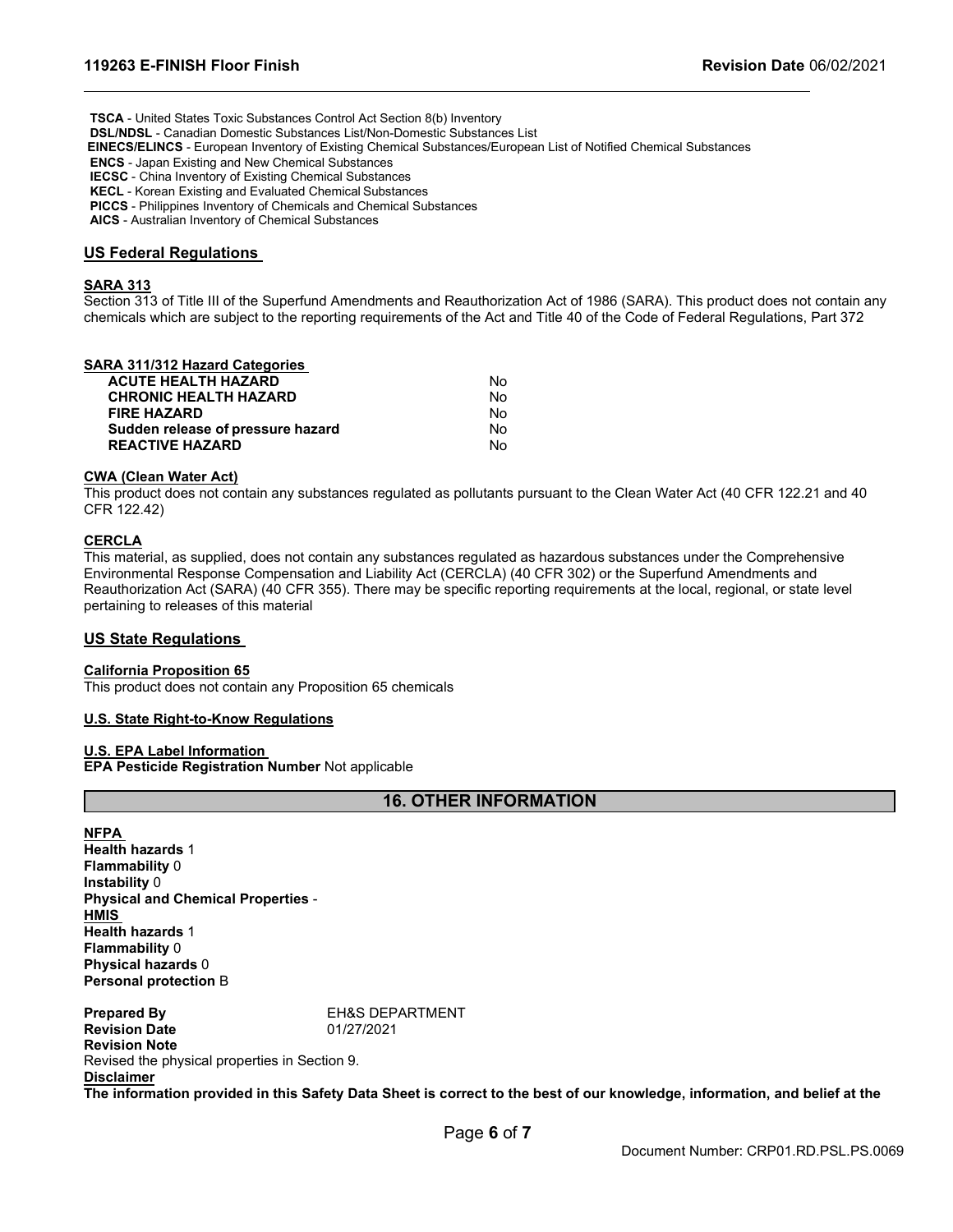**TSCA** - United States Toxic Substances Control Act Section 8(b) Inventory

**DSL/NDSL** - Canadian Domestic Substances List/Non-Domestic Substances List

**EINECS/ELINCS** - European Inventory of Existing Chemical Substances/European List of Notified Chemical Substances

**ENCS** - Japan Existing and New Chemical Substances

**IECSC** - China Inventory of Existing Chemical Substances

**KECL** - Korean Existing and Evaluated Chemical Substances

**PICCS** - Philippines Inventory of Chemicals and Chemical Substances

**AICS** - Australian Inventory of Chemical Substances

#### **US Federal Regulations**

#### **SARA 313**

Section 313 of Title III of the Superfund Amendments and Reauthorization Act of 1986 (SARA). This product does not contain any chemicals which are subject to the reporting requirements of the Act and Title 40 of the Code of Federal Regulations, Part 372

#### **SARA 311/312 Hazard Categories**

| <b>ACUTE HEALTH HAZARD</b>        | No. |
|-----------------------------------|-----|
| <b>CHRONIC HEALTH HAZARD</b>      | N٥  |
| <b>FIRE HAZARD</b>                | N٥  |
| Sudden release of pressure hazard | N٥  |
| <b>REACTIVE HAZARD</b>            | N٥  |

### **CWA (Clean Water Act)**

This product does not contain any substances regulated as pollutants pursuant to the Clean Water Act (40 CFR 122.21 and 40 CFR 122.42)

#### **CERCLA**

This material, as supplied, does not contain any substances regulated as hazardous substances under the Comprehensive Environmental Response Compensation and Liability Act (CERCLA) (40 CFR 302) or the Superfund Amendments and Reauthorization Act (SARA) (40 CFR 355). There may be specific reporting requirements at the local, regional, or state level pertaining to releases of this material

#### **US State Regulations**

#### **California Proposition 65**

This product does not contain any Proposition 65 chemicals

#### **U.S. State Right-to-Know Regulations**

#### **U.S. EPA Label Information**

**EPA Pesticide Registration Number** Not applicable

# **16. OTHER INFORMATION**

**NFPA** 

**Health hazards** 1 **Flammability** 0 **Instability** 0 **Physical and Chemical Properties** - **HMIS Health hazards** 1 **Flammability** 0 **Physical hazards** 0 **Personal protection** B

**Prepared By** EH&S DEPARTMENT **Revision Date** 01/27/2021 **Revision Note** Revised the physical properties in Section 9. **Disclaimer**

**The information provided in this Safety Data Sheet is correct to the best of our knowledge, information, and belief at the**